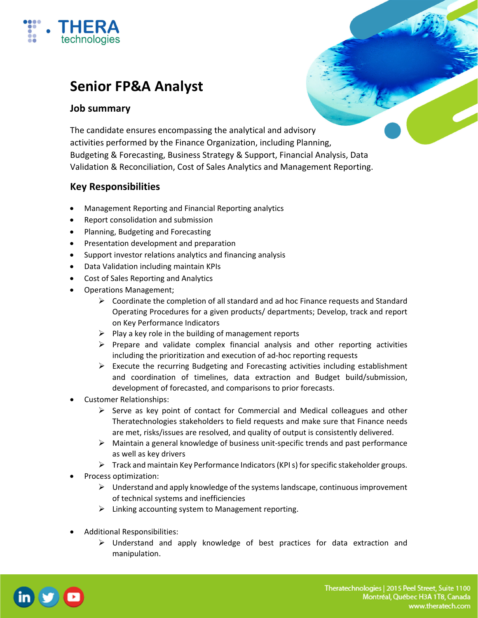

# **Senior FP&A Analyst**

#### **Job summary**

The candidate ensures encompassing the analytical and advisory activities performed by the Finance Organization, including Planning, Budgeting & Forecasting, Business Strategy & Support, Financial Analysis, Data Validation & Reconciliation, Cost of Sales Analytics and Management Reporting.

## **Key Responsibilities**

- Management Reporting and Financial Reporting analytics
- Report consolidation and submission
- Planning, Budgeting and Forecasting
- Presentation development and preparation
- Support investor relations analytics and financing analysis
- Data Validation including maintain KPIs
- Cost of Sales Reporting and Analytics
- Operations Management;
	- $\triangleright$  Coordinate the completion of all standard and ad hoc Finance requests and Standard Operating Procedures for a given products/ departments; Develop, track and report on Key Performance Indicators
	- $\triangleright$  Play a key role in the building of management reports
	- $\triangleright$  Prepare and validate complex financial analysis and other reporting activities including the prioritization and execution of ad‐hoc reporting requests
	- $\triangleright$  Execute the recurring Budgeting and Forecasting activities including establishment and coordination of timelines, data extraction and Budget build/submission, development of forecasted, and comparisons to prior forecasts.
- Customer Relationships:
	- $\triangleright$  Serve as key point of contact for Commercial and Medical colleagues and other Theratechnologies stakeholders to field requests and make sure that Finance needs are met, risks/issues are resolved, and quality of output is consistently delivered.
	- $\triangleright$  Maintain a general knowledge of business unit-specific trends and past performance as well as key drivers
	- $\triangleright$  Track and maintain Key Performance Indicators (KPI s) for specific stakeholder groups.
- Process optimization:
	- $\triangleright$  Understand and apply knowledge of the systems landscape, continuous improvement of technical systems and inefficiencies
	- $\triangleright$  Linking accounting system to Management reporting.
- Additional Responsibilities:
	- $\triangleright$  Understand and apply knowledge of best practices for data extraction and manipulation.